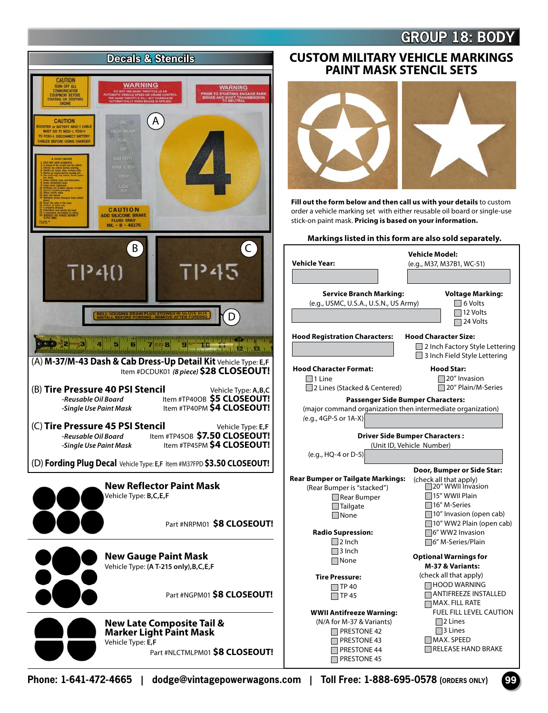## **GROUP 18: BODY**



## **PAINT MASK STENCIL SETS**



**Fill out the form below and then call us with your details** to custom order a vehicle marking set with either reusable oil board or single-use stick-on paint mask. **Pricing is based on your information.** 

## **Markings listed in this form are also sold separately.**

| <b>Vehicle Year:</b>                                                                                                                                       | <b>Vehicle Model:</b><br>(e.g., M37, M37B1, WC-51)                                                                                                                                                            |
|------------------------------------------------------------------------------------------------------------------------------------------------------------|---------------------------------------------------------------------------------------------------------------------------------------------------------------------------------------------------------------|
| <b>Service Branch Marking:</b><br>(e.g., USMC, U.S.A., U.S.N., US Army)                                                                                    | <b>Voltage Marking:</b><br>$\Box$ 6 Volts<br>$\sqsupset$ 12 Volts<br>□ 24 Volts                                                                                                                               |
| <b>Hood Registration Characters:</b>                                                                                                                       | <b>Hood Character Size:</b><br>□ 2 Inch Factory Style Lettering<br>$\Box$ 3 Inch Field Style Lettering                                                                                                        |
| <b>Hood Character Format:</b><br>$\Box$ 1 l ine<br>$\Box$ 2 Lines (Stacked & Centered)                                                                     | <b>Hood Star:</b><br>20" Invasion<br>□ 20" Plain/M-Series                                                                                                                                                     |
| Passenger Side Bumper Characters:<br>(major command organization then intermediate organization)<br>$(e.g., 4GP-S or 1A-X)$                                |                                                                                                                                                                                                               |
| $(e.q., HQ-4 or D-5)$                                                                                                                                      | <b>Driver Side Bumper Characters:</b><br>(Unit ID, Vehicle Number)                                                                                                                                            |
| <b>Rear Bumper or Tailgate Markings:</b><br>(Rear Bumper is "stacked")<br>$\Box$ Rear Bumper<br>$\Box$ Tailgate<br><b>None</b><br><b>Radio Supression:</b> | Door, Bumper or Side Star:<br>(check all that apply)<br>□20" WWII Invasion<br>15" WWII Plain<br>$\Box$ 16" M-Series<br>$\Box$ 10" Invasion (open cab)<br>10" WW2 Plain (open cab)<br>$\sqcap$ 6" WW2 Invasion |
| $\Box$ 2 Inch<br>$\sqcap$ 3 Inch<br>$\sqcap$ None<br><b>Tire Pressure:</b>                                                                                 | □6" M-Series/Plain<br><b>Optional Warnings for</b><br>M-37 & Variants:<br>(check all that apply)                                                                                                              |
| ITP 40<br><b>TP 45</b>                                                                                                                                     | <b>□ HOOD WARNING</b><br>$\neg$ ANTIFREEZE INSTALLED<br>$\sqcap$ MAX. FILL RATE                                                                                                                               |
| <b>WWII Antifreeze Warning:</b><br>(N/A for M-37 & Variants)<br>$\Box$ PRESTONE 42<br>$\sqcap$ PRESTONE 43<br><b>PRESTONE 44</b><br>$\sqcap$ PRESTONE 45   | <b>FUEL FILL LEVEL CAUTION</b><br>$\square$ 2 Lines<br>$\neg$ 3 Lines<br>MAX. SPEED<br>l RELEASE HAND BRAKE                                                                                                   |